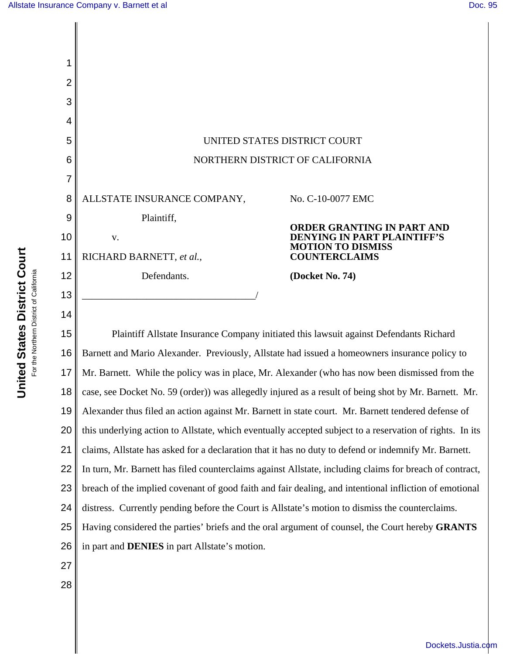| 1              |                                                                                                                                                                                                                   |                                                                                                          |
|----------------|-------------------------------------------------------------------------------------------------------------------------------------------------------------------------------------------------------------------|----------------------------------------------------------------------------------------------------------|
| $\overline{2}$ |                                                                                                                                                                                                                   |                                                                                                          |
| 3              |                                                                                                                                                                                                                   |                                                                                                          |
| 4              |                                                                                                                                                                                                                   |                                                                                                          |
| 5              | UNITED STATES DISTRICT COURT                                                                                                                                                                                      |                                                                                                          |
| 6              | NORTHERN DISTRICT OF CALIFORNIA                                                                                                                                                                                   |                                                                                                          |
| $\overline{7}$ |                                                                                                                                                                                                                   |                                                                                                          |
| 8              | ALLSTATE INSURANCE COMPANY,                                                                                                                                                                                       | No. C-10-0077 EMC                                                                                        |
| 9              | Plaintiff,                                                                                                                                                                                                        | <b>ORDER GRANTING IN PART AND</b>                                                                        |
| 10             | V.                                                                                                                                                                                                                | <b>DENYING IN PART PLAINTIFF'S</b><br><b>MOTION TO DISMISS</b>                                           |
| 11             | RICHARD BARNETT, et al.,                                                                                                                                                                                          | <b>COUNTERCLAIMS</b>                                                                                     |
| 12             | Defendants.                                                                                                                                                                                                       | (Docket No. 74)                                                                                          |
| 13             |                                                                                                                                                                                                                   |                                                                                                          |
| 14             |                                                                                                                                                                                                                   |                                                                                                          |
| 15             |                                                                                                                                                                                                                   | Plaintiff Allstate Insurance Company initiated this lawsuit against Defendants Richard                   |
| 16             | Barnett and Mario Alexander. Previously, Allstate had issued a homeowners insurance policy to                                                                                                                     |                                                                                                          |
| 17             | Mr. Barnett. While the policy was in place, Mr. Alexander (who has now been dismissed from the                                                                                                                    |                                                                                                          |
| 18             | case, see Docket No. 59 (order)) was allegedly injured as a result of being shot by Mr. Barnett. Mr.                                                                                                              |                                                                                                          |
| 19             | Alexander thus filed an action against Mr. Barnett in state court. Mr. Barnett tendered defense of                                                                                                                |                                                                                                          |
| 20             |                                                                                                                                                                                                                   | this underlying action to Allstate, which eventually accepted subject to a reservation of rights. In its |
| 21<br>22       | claims, Allstate has asked for a declaration that it has no duty to defend or indemnify Mr. Barnett.                                                                                                              |                                                                                                          |
| 23             | In turn, Mr. Barnett has filed counterclaims against Allstate, including claims for breach of contract,<br>breach of the implied covenant of good faith and fair dealing, and intentional infliction of emotional |                                                                                                          |
| 24             | distress. Currently pending before the Court is Allstate's motion to dismiss the counterclaims.                                                                                                                   |                                                                                                          |
| 25             | Having considered the parties' briefs and the oral argument of counsel, the Court hereby GRANTS                                                                                                                   |                                                                                                          |
| 26             | in part and <b>DENIES</b> in part Allstate's motion.                                                                                                                                                              |                                                                                                          |
| 27             |                                                                                                                                                                                                                   |                                                                                                          |
| 28             |                                                                                                                                                                                                                   |                                                                                                          |
|                |                                                                                                                                                                                                                   |                                                                                                          |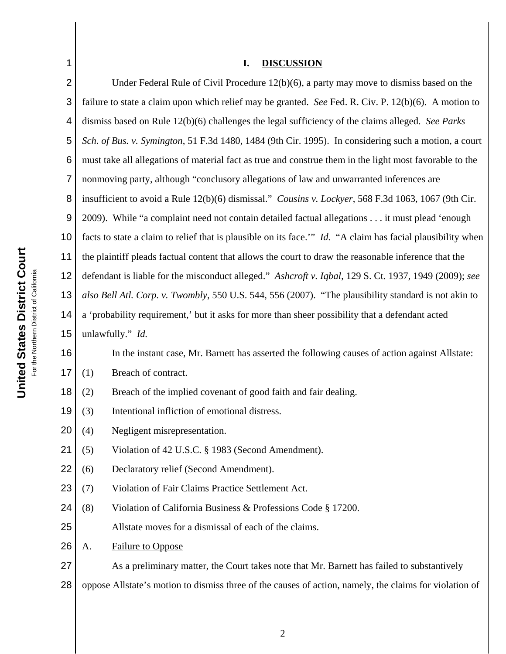| 1              | <b>DISCUSSION</b><br>I.                                                                                    |  |
|----------------|------------------------------------------------------------------------------------------------------------|--|
| $\overline{2}$ | Under Federal Rule of Civil Procedure $12(b)(6)$ , a party may move to dismiss based on the                |  |
| 3              | failure to state a claim upon which relief may be granted. See Fed. R. Civ. P. 12(b)(6). A motion to       |  |
| 4              | dismiss based on Rule 12(b)(6) challenges the legal sufficiency of the claims alleged. See Parks           |  |
| 5              | Sch. of Bus. v. Symington, 51 F.3d 1480, 1484 (9th Cir. 1995). In considering such a motion, a court       |  |
| 6              | must take all allegations of material fact as true and construe them in the light most favorable to the    |  |
| 7              | nonmoving party, although "conclusory allegations of law and unwarranted inferences are                    |  |
| 8              | insufficient to avoid a Rule 12(b)(6) dismissal." Cousins v. Lockyer, 568 F.3d 1063, 1067 (9th Cir.        |  |
| 9              | 2009). While "a complaint need not contain detailed factual allegations it must plead 'enough              |  |
| 10             | facts to state a claim to relief that is plausible on its face." Id. "A claim has facial plausibility when |  |
| 11             | the plaintiff pleads factual content that allows the court to draw the reasonable inference that the       |  |
| 12             | defendant is liable for the misconduct alleged." Ashcroft v. Iqbal, 129 S. Ct. 1937, 1949 (2009); see      |  |
| 13             | also Bell Atl. Corp. v. Twombly, 550 U.S. 544, 556 (2007). "The plausibility standard is not akin to       |  |
| 14             | a 'probability requirement,' but it asks for more than sheer possibility that a defendant acted            |  |
| 15             | unlawfully." Id.                                                                                           |  |
| 16             | In the instant case, Mr. Barnett has asserted the following causes of action against Allstate:             |  |
| 17             | Breach of contract.<br>(1)                                                                                 |  |
| 18             | Breach of the implied covenant of good faith and fair dealing.<br>(2)                                      |  |
| 19             | Intentional infliction of emotional distress.<br>(3)                                                       |  |
| 20             | (4)<br>Negligent misrepresentation.                                                                        |  |
| 21             | Violation of 42 U.S.C. § 1983 (Second Amendment).<br>(5)                                                   |  |
| 22             | Declaratory relief (Second Amendment).<br>(6)                                                              |  |
| 23             | Violation of Fair Claims Practice Settlement Act.<br>(7)                                                   |  |
| 24             | (8)<br>Violation of California Business & Professions Code § 17200.                                        |  |
| 25             | Allstate moves for a dismissal of each of the claims.                                                      |  |
| 26             | <b>Failure to Oppose</b><br>A.                                                                             |  |
| 27             | As a preliminary matter, the Court takes note that Mr. Barnett has failed to substantively                 |  |
| 28             | oppose Allstate's motion to dismiss three of the causes of action, namely, the claims for violation of     |  |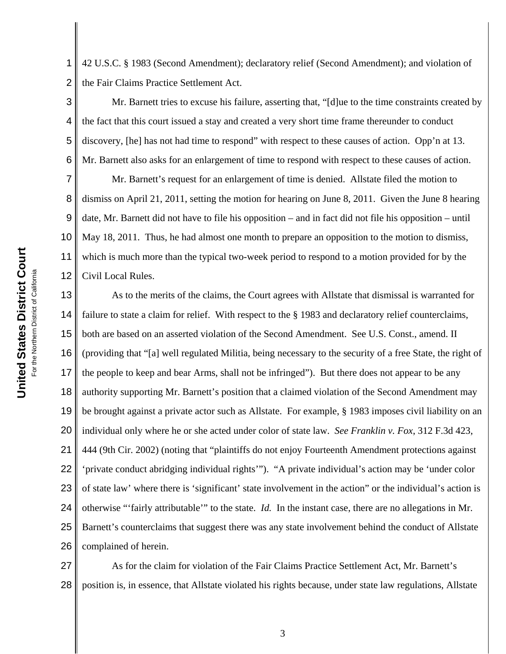1 2 42 U.S.C. § 1983 (Second Amendment); declaratory relief (Second Amendment); and violation of the Fair Claims Practice Settlement Act.

3 4 5 6 Mr. Barnett tries to excuse his failure, asserting that, "[d]ue to the time constraints created by the fact that this court issued a stay and created a very short time frame thereunder to conduct discovery, [he] has not had time to respond" with respect to these causes of action. Opp'n at 13. Mr. Barnett also asks for an enlargement of time to respond with respect to these causes of action.

7 8 9 10 11 12 Mr. Barnett's request for an enlargement of time is denied. Allstate filed the motion to dismiss on April 21, 2011, setting the motion for hearing on June 8, 2011. Given the June 8 hearing date, Mr. Barnett did not have to file his opposition – and in fact did not file his opposition – until May 18, 2011. Thus, he had almost one month to prepare an opposition to the motion to dismiss, which is much more than the typical two-week period to respond to a motion provided for by the Civil Local Rules.

13 14 15 16 17 18 19 20 21 22 23 24 25 26 As to the merits of the claims, the Court agrees with Allstate that dismissal is warranted for failure to state a claim for relief. With respect to the § 1983 and declaratory relief counterclaims, both are based on an asserted violation of the Second Amendment. See U.S. Const., amend. II (providing that "[a] well regulated Militia, being necessary to the security of a free State, the right of the people to keep and bear Arms, shall not be infringed"). But there does not appear to be any authority supporting Mr. Barnett's position that a claimed violation of the Second Amendment may be brought against a private actor such as Allstate. For example, § 1983 imposes civil liability on an individual only where he or she acted under color of state law. *See Franklin v. Fox*, 312 F.3d 423, 444 (9th Cir. 2002) (noting that "plaintiffs do not enjoy Fourteenth Amendment protections against 'private conduct abridging individual rights'"). "A private individual's action may be 'under color of state law' where there is 'significant' state involvement in the action" or the individual's action is otherwise "'fairly attributable'" to the state. *Id.* In the instant case, there are no allegations in Mr. Barnett's counterclaims that suggest there was any state involvement behind the conduct of Allstate complained of herein.

27 28 As for the claim for violation of the Fair Claims Practice Settlement Act, Mr. Barnett's position is, in essence, that Allstate violated his rights because, under state law regulations, Allstate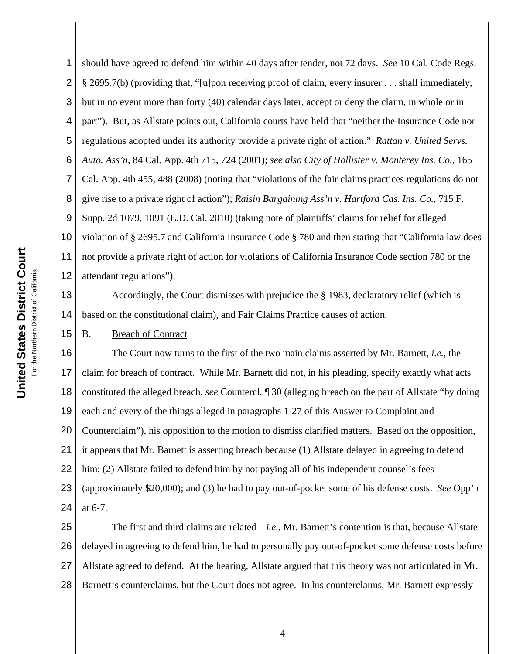1 2 3 4 5 6 7 8 9 10 11 12 should have agreed to defend him within 40 days after tender, not 72 days. *See* 10 Cal. Code Regs. § 2695.7(b) (providing that, "[u]pon receiving proof of claim, every insurer . . . shall immediately, but in no event more than forty (40) calendar days later, accept or deny the claim, in whole or in part"). But, as Allstate points out, California courts have held that "neither the Insurance Code nor regulations adopted under its authority provide a private right of action." *Rattan v. United Servs. Auto. Ass'n*, 84 Cal. App. 4th 715, 724 (2001); *see also City of Hollister v. Monterey Ins. Co.*, 165 Cal. App. 4th 455, 488 (2008) (noting that "violations of the fair claims practices regulations do not give rise to a private right of action"); *Raisin Bargaining Ass'n v. Hartford Cas. Ins. Co.*, 715 F. Supp. 2d 1079, 1091 (E.D. Cal. 2010) (taking note of plaintiffs' claims for relief for alleged violation of § 2695.7 and California Insurance Code § 780 and then stating that "California law does not provide a private right of action for violations of California Insurance Code section 780 or the attendant regulations").

13 14 Accordingly, the Court dismisses with prejudice the § 1983, declaratory relief (which is based on the constitutional claim), and Fair Claims Practice causes of action.

## 15 B. Breach of Contract

16 17 18 19 20 21 22 23 24 The Court now turns to the first of the two main claims asserted by Mr. Barnett, *i.e.*, the claim for breach of contract. While Mr. Barnett did not, in his pleading, specify exactly what acts constituted the alleged breach, *see* Countercl. ¶ 30 (alleging breach on the part of Allstate "by doing each and every of the things alleged in paragraphs 1-27 of this Answer to Complaint and Counterclaim"), his opposition to the motion to dismiss clarified matters. Based on the opposition, it appears that Mr. Barnett is asserting breach because (1) Allstate delayed in agreeing to defend him; (2) Allstate failed to defend him by not paying all of his independent counsel's fees (approximately \$20,000); and (3) he had to pay out-of-pocket some of his defense costs. *See* Opp'n at 6-7.

25 26 27 28 The first and third claims are related – *i.e.*, Mr. Barnett's contention is that, because Allstate delayed in agreeing to defend him, he had to personally pay out-of-pocket some defense costs before Allstate agreed to defend. At the hearing, Allstate argued that this theory was not articulated in Mr. Barnett's counterclaims, but the Court does not agree. In his counterclaims, Mr. Barnett expressly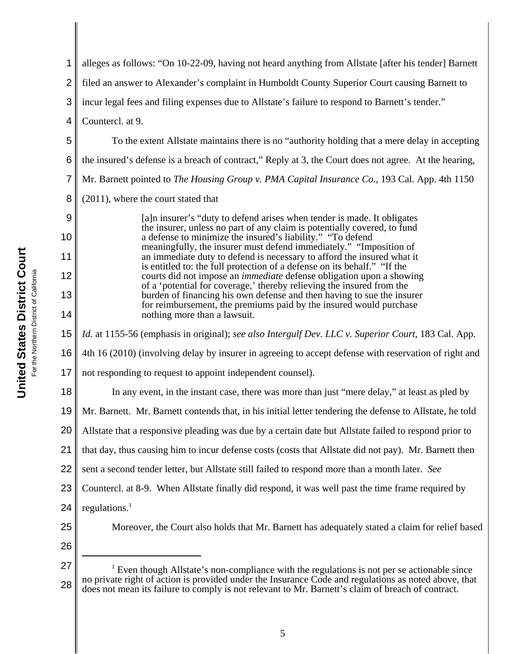1 2 3 4 5 6 7 8 9 10 11 12 13 14 15 16 17 18 19 20 21 22 23 24 25 26 27 28 <sup>1</sup> Even though Allstate's non-compliance with the regulations is not per se actionable since no private right of action is provided under the Insurance Code and regulations as noted above, that does not mean its failure to comply is not relevant to Mr. Barnett's claim of breach of contract. alleges as follows: "On 10-22-09, having not heard anything from Allstate [after his tender] Barnett filed an answer to Alexander's complaint in Humboldt County Superior Court causing Barnett to incur legal fees and filing expenses due to Allstate's failure to respond to Barnett's tender." Countercl. at 9. To the extent Allstate maintains there is no "authority holding that a mere delay in accepting the insured's defense is a breach of contract," Reply at 3, the Court does not agree. At the hearing, Mr. Barnett pointed to *The Housing Group v. PMA Capital Insurance Co.*, 193 Cal. App. 4th 1150 (2011), where the court stated that [a]n insurer's "duty to defend arises when tender is made. It obligates the insurer, unless no part of any claim is potentially covered, to fund a defense to minimize the insured's liability." "To defend meaningfully, the insurer must defend immediately." "Imposition of an immediate duty to defend is necessary to afford the insured what it is entitled to: the full protection of a defense on its behalf." "If the courts did not impose an *immediate* defense obligation upon a showing of a 'potential for coverage,' thereby relieving the insured from the burden of financing his own defense and then having to sue the insurer for reimbursement, the premiums paid by the insured would purchase nothing more than a lawsuit. *Id.* at 1155-56 (emphasis in original); *see also Intergulf Dev. LLC v. Superior Court*, 183 Cal. App. 4th 16 (2010) (involving delay by insurer in agreeing to accept defense with reservation of right and not responding to request to appoint independent counsel). In any event, in the instant case, there was more than just "mere delay," at least as pled by Mr. Barnett. Mr. Barnett contends that, in his initial letter tendering the defense to Allstate, he told Allstate that a responsive pleading was due by a certain date but Allstate failed to respond prior to that day, thus causing him to incur defense costs (costs that Allstate did not pay). Mr. Barnett then sent a second tender letter, but Allstate still failed to respond more than a month later. *See* Countercl. at 8-9. When Allstate finally did respond, it was well past the time frame required by regulations. $<sup>1</sup>$ </sup> Moreover, the Court also holds that Mr. Barnett has adequately stated a claim for relief based

**United States District Court United States District Court** For the Northern District of California the Northern District of California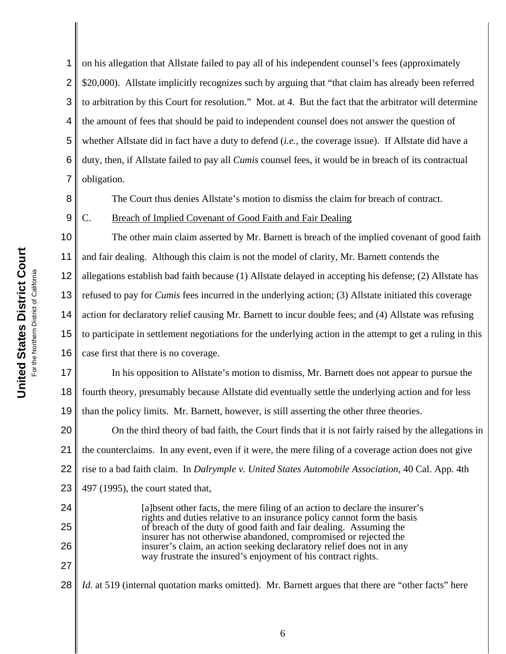8

9

24

25

26

27

1 2 3 4 5 6 7 on his allegation that Allstate failed to pay all of his independent counsel's fees (approximately \$20,000). Allstate implicitly recognizes such by arguing that "that claim has already been referred to arbitration by this Court for resolution." Mot. at 4. But the fact that the arbitrator will determine the amount of fees that should be paid to independent counsel does not answer the question of whether Allstate did in fact have a duty to defend (*i.e.*, the coverage issue). If Allstate did have a duty, then, if Allstate failed to pay all *Cumis* counsel fees, it would be in breach of its contractual obligation.

The Court thus denies Allstate's motion to dismiss the claim for breach of contract.

## C. Breach of Implied Covenant of Good Faith and Fair Dealing

10 11 12 13 14 15 16 The other main claim asserted by Mr. Barnett is breach of the implied covenant of good faith and fair dealing. Although this claim is not the model of clarity, Mr. Barnett contends the allegations establish bad faith because (1) Allstate delayed in accepting his defense; (2) Allstate has refused to pay for *Cumis* fees incurred in the underlying action; (3) Allstate initiated this coverage action for declaratory relief causing Mr. Barnett to incur double fees; and (4) Allstate was refusing to participate in settlement negotiations for the underlying action in the attempt to get a ruling in this case first that there is no coverage.

17 18 19 In his opposition to Allstate's motion to dismiss, Mr. Barnett does not appear to pursue the fourth theory, presumably because Allstate did eventually settle the underlying action and for less than the policy limits. Mr. Barnett, however, is still asserting the other three theories.

20 21 22 On the third theory of bad faith, the Court finds that it is not fairly raised by the allegations in the counterclaims. In any event, even if it were, the mere filing of a coverage action does not give rise to a bad faith claim. In *Dalrymple v. United States Automobile Association*, 40 Cal. App. 4th

23 497 (1995), the court stated that,

> [a]bsent other facts, the mere filing of an action to declare the insurer's rights and duties relative to an insurance policy cannot form the basis of breach of the duty of good faith and fair dealing. Assuming the insurer has not otherwise abandoned, compromised or rejected the insurer's claim, an action seeking declaratory relief does not in any way frustrate the insured's enjoyment of his contract rights.

28 *Id.* at 519 (internal quotation marks omitted). Mr. Barnett argues that there are "other facts" here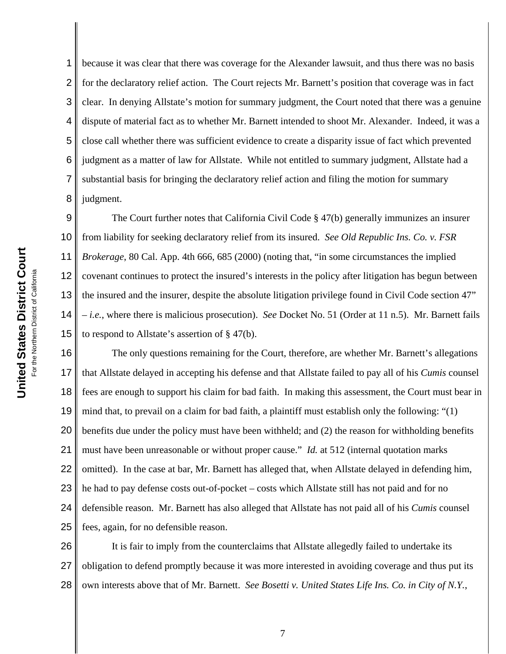1

6

7

2 3 4 5 8 because it was clear that there was coverage for the Alexander lawsuit, and thus there was no basis for the declaratory relief action. The Court rejects Mr. Barnett's position that coverage was in fact clear. In denying Allstate's motion for summary judgment, the Court noted that there was a genuine dispute of material fact as to whether Mr. Barnett intended to shoot Mr. Alexander. Indeed, it was a close call whether there was sufficient evidence to create a disparity issue of fact which prevented judgment as a matter of law for Allstate. While not entitled to summary judgment, Allstate had a substantial basis for bringing the declaratory relief action and filing the motion for summary judgment.

9 10 11 12 13 14 15 The Court further notes that California Civil Code § 47(b) generally immunizes an insurer from liability for seeking declaratory relief from its insured. *See Old Republic Ins. Co. v. FSR Brokerage*, 80 Cal. App. 4th 666, 685 (2000) (noting that, "in some circumstances the implied covenant continues to protect the insured's interests in the policy after litigation has begun between the insured and the insurer, despite the absolute litigation privilege found in Civil Code section 47" – *i.e.*, where there is malicious prosecution). *See* Docket No. 51 (Order at 11 n.5). Mr. Barnett fails to respond to Allstate's assertion of § 47(b).

16 17 18 19 20 21 22 23 24 25 The only questions remaining for the Court, therefore, are whether Mr. Barnett's allegations that Allstate delayed in accepting his defense and that Allstate failed to pay all of his *Cumis* counsel fees are enough to support his claim for bad faith. In making this assessment, the Court must bear in mind that, to prevail on a claim for bad faith, a plaintiff must establish only the following: "(1) benefits due under the policy must have been withheld; and (2) the reason for withholding benefits must have been unreasonable or without proper cause." *Id.* at 512 (internal quotation marks omitted). In the case at bar, Mr. Barnett has alleged that, when Allstate delayed in defending him, he had to pay defense costs out-of-pocket – costs which Allstate still has not paid and for no defensible reason. Mr. Barnett has also alleged that Allstate has not paid all of his *Cumis* counsel fees, again, for no defensible reason.

26 27 28 It is fair to imply from the counterclaims that Allstate allegedly failed to undertake its obligation to defend promptly because it was more interested in avoiding coverage and thus put its own interests above that of Mr. Barnett. *See Bosetti v. United States Life Ins. Co. in City of N.Y.*,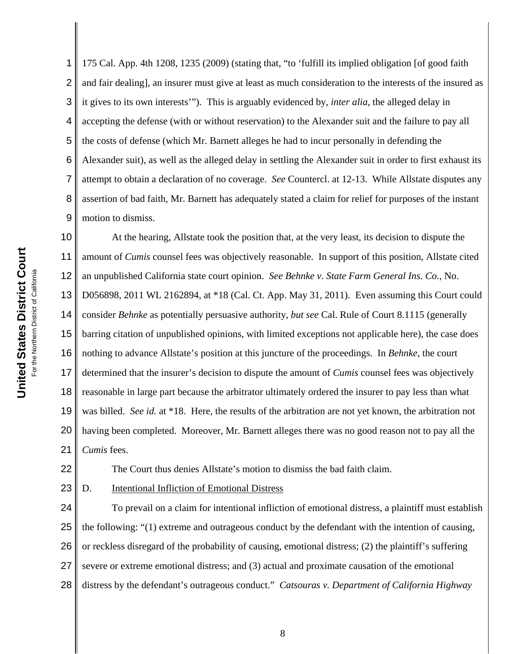7 8 9 **United States District Court United States District Court** 11 For the Northern District of California or the Northern District of California 12 15

1 2 3 4 5 6 175 Cal. App. 4th 1208, 1235 (2009) (stating that, "to 'fulfill its implied obligation [of good faith and fair dealing], an insurer must give at least as much consideration to the interests of the insured as it gives to its own interests'"). This is arguably evidenced by, *inter alia*, the alleged delay in accepting the defense (with or without reservation) to the Alexander suit and the failure to pay all the costs of defense (which Mr. Barnett alleges he had to incur personally in defending the Alexander suit), as well as the alleged delay in settling the Alexander suit in order to first exhaust its attempt to obtain a declaration of no coverage. *See* Countercl. at 12-13. While Allstate disputes any assertion of bad faith, Mr. Barnett has adequately stated a claim for relief for purposes of the instant motion to dismiss.

10 13 14 16 17 18 19 20 21 At the hearing, Allstate took the position that, at the very least, its decision to dispute the amount of *Cumis* counsel fees was objectively reasonable. In support of this position, Allstate cited an unpublished California state court opinion. *See Behnke v. State Farm General Ins. Co.*, No. D056898, 2011 WL 2162894, at \*18 (Cal. Ct. App. May 31, 2011). Even assuming this Court could consider *Behnke* as potentially persuasive authority, *but see* Cal. Rule of Court 8.1115 (generally barring citation of unpublished opinions, with limited exceptions not applicable here), the case does nothing to advance Allstate's position at this juncture of the proceedings. In *Behnke*, the court determined that the insurer's decision to dispute the amount of *Cumis* counsel fees was objectively reasonable in large part because the arbitrator ultimately ordered the insurer to pay less than what was billed. *See id.* at \*18. Here, the results of the arbitration are not yet known, the arbitration not having been completed. Moreover, Mr. Barnett alleges there was no good reason not to pay all the *Cumis* fees.

22

The Court thus denies Allstate's motion to dismiss the bad faith claim.

23

D. Intentional Infliction of Emotional Distress

24 25 26 27 28 To prevail on a claim for intentional infliction of emotional distress, a plaintiff must establish the following: "(1) extreme and outrageous conduct by the defendant with the intention of causing, or reckless disregard of the probability of causing, emotional distress; (2) the plaintiff's suffering severe or extreme emotional distress; and (3) actual and proximate causation of the emotional distress by the defendant's outrageous conduct." *Catsouras v. Department of California Highway*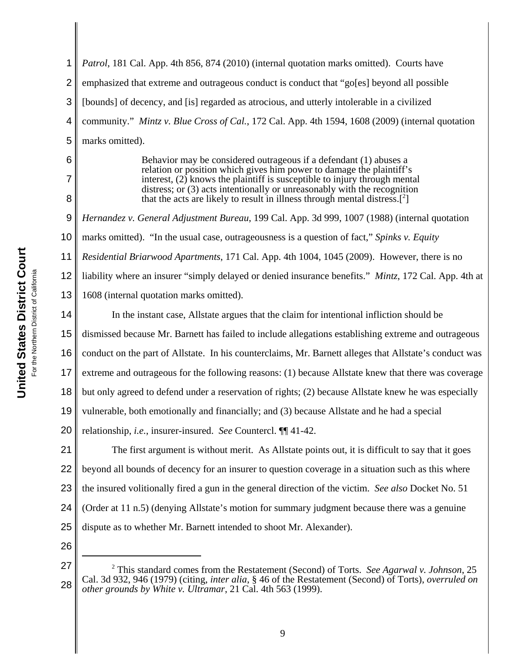| 1              | Patrol, 181 Cal. App. 4th 856, 874 (2010) (internal quotation marks omitted). Courts have                                                                |
|----------------|----------------------------------------------------------------------------------------------------------------------------------------------------------|
| $\overline{2}$ | emphasized that extreme and outrageous conduct is conduct that "go[es] beyond all possible                                                               |
| 3              | [bounds] of decency, and [is] regarded as atrocious, and utterly intolerable in a civilized                                                              |
| $\overline{4}$ | community." Mintz v. Blue Cross of Cal., 172 Cal. App. 4th 1594, 1608 (2009) (internal quotation                                                         |
| 5              | marks omitted).                                                                                                                                          |
| 6              | Behavior may be considered outrageous if a defendant (1) abuses a                                                                                        |
| 7              | relation or position which gives him power to damage the plaintiff's<br>interest, $(2)$ knows the plaintiff is susceptible to injury through mental      |
| 8              | distress; or (3) acts intentionally or unreasonably with the recognition<br>that the acts are likely to result in illness through mental distress. $[2]$ |
| 9              | Hernandez v. General Adjustment Bureau, 199 Cal. App. 3d 999, 1007 (1988) (internal quotation                                                            |
| 10             | marks omitted). "In the usual case, outrageousness is a question of fact," Spinks v. Equity                                                              |
| 11             | Residential Briarwood Apartments, 171 Cal. App. 4th 1004, 1045 (2009). However, there is no                                                              |
| 12             | liability where an insurer "simply delayed or denied insurance benefits." <i>Mintz</i> , 172 Cal. App. 4th at                                            |
| 13             | 1608 (internal quotation marks omitted).                                                                                                                 |
| 14             | In the instant case, Allstate argues that the claim for intentional infliction should be                                                                 |
| 15             | dismissed because Mr. Barnett has failed to include allegations establishing extreme and outrageous                                                      |
| 16             | conduct on the part of Allstate. In his counterclaims, Mr. Barnett alleges that Allstate's conduct was                                                   |
| 17             | extreme and outrageous for the following reasons: (1) because Allstate knew that there was coverage                                                      |
| 18             | but only agreed to defend under a reservation of rights; (2) because Allstate knew he was especially                                                     |
| 19             | vulnerable, both emotionally and financially; and (3) because Allstate and he had a special                                                              |
| 20             | relationship, i.e., insurer-insured. See Countercl. II 41-42.                                                                                            |
| 21             | The first argument is without merit. As Allstate points out, it is difficult to say that it goes                                                         |
| 22             | beyond all bounds of decency for an insurer to question coverage in a situation such as this where                                                       |
| 23             | the insured volitionally fired a gun in the general direction of the victim. See also Docket No. 51                                                      |
| 24             | (Order at 11 n.5) (denying Allstate's motion for summary judgment because there was a genuine                                                            |
| 25             | dispute as to whether Mr. Barnett intended to shoot Mr. Alexander).                                                                                      |
| 26             |                                                                                                                                                          |
| 27             | $2$ This standard comes from the Restatement (Second) of Torts. See Agarwal v. Johnson, 25                                                               |

<sup>28</sup> This standard comes from the Restatement (Second) of Torts. *See Agarwal v. Johnson*, 25 Cal. 3d 932, 946 (1979) (citing, *inter alia*, § 46 of the Restatement (Second) of Torts), *overruled on other grounds by White v. Ultramar*, 21 Cal. 4th 563 (1999).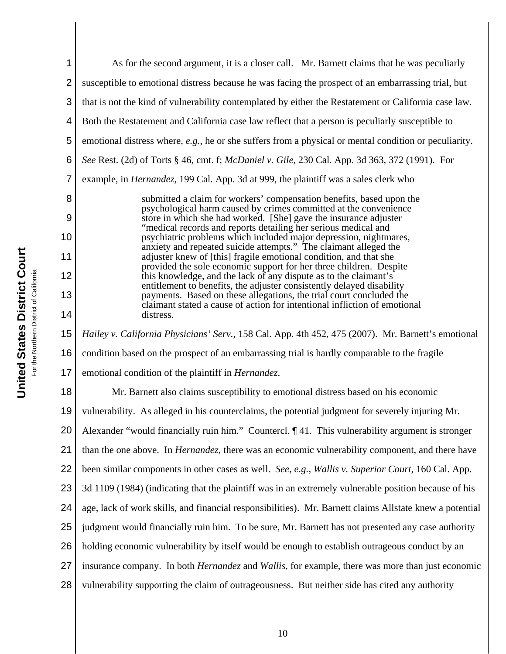| 1              | As for the second argument, it is a closer call. Mr. Barnett claims that he was peculiarly                                                       |
|----------------|--------------------------------------------------------------------------------------------------------------------------------------------------|
| $\overline{2}$ | susceptible to emotional distress because he was facing the prospect of an embarrassing trial, but                                               |
| 3              | that is not the kind of vulnerability contemplated by either the Restatement or California case law.                                             |
| 4              | Both the Restatement and California case law reflect that a person is peculiarly susceptible to                                                  |
| 5              | emotional distress where, e.g., he or she suffers from a physical or mental condition or peculiarity.                                            |
| 6              | See Rest. (2d) of Torts § 46, cmt. f; McDaniel v. Gile, 230 Cal. App. 3d 363, 372 (1991). For                                                    |
| 7              | example, in <i>Hernandez</i> , 199 Cal. App. 3d at 999, the plaintiff was a sales clerk who                                                      |
| 8              | submitted a claim for workers' compensation benefits, based upon the<br>psychological harm caused by crimes committed at the convenience         |
| 9              | store in which she had worked. [She] gave the insurance adjuster<br>"medical records and reports detailing her serious medical and               |
| 10             | psychiatric problems which included major depression, nightmares,<br>anxiety and repeated suicide attempts." The claimant alleged the            |
| 11             | adjuster knew of [this] fragile emotional condition, and that she<br>provided the sole economic support for her three children. Despite          |
| 12             | this knowledge, and the lack of any dispute as to the claimant's<br>entitlement to benefits, the adjuster consistently delayed disability        |
| 13             | payments. Based on these allegations, the trial court concluded the<br>claimant stated a cause of action for intentional infliction of emotional |
| 14             | distress.                                                                                                                                        |
| 15             | Hailey v. California Physicians' Serv., 158 Cal. App. 4th 452, 475 (2007). Mr. Barnett's emotional                                               |
| 16             | condition based on the prospect of an embarrassing trial is hardly comparable to the fragile                                                     |
| 17             | emotional condition of the plaintiff in <i>Hernandez</i> .                                                                                       |
| 18             | Mr. Barnett also claims susceptibility to emotional distress based on his economic                                                               |
| 19             | vulnerability. As alleged in his counterclaims, the potential judgment for severely injuring Mr.                                                 |
| 20             | Alexander "would financially ruin him." Countercl. ¶41. This vulnerability argument is stronger                                                  |
| 21             | than the one above. In <i>Hernandez</i> , there was an economic vulnerability component, and there have                                          |
| 22             | been similar components in other cases as well. See, e.g., Wallis v. Superior Court, 160 Cal. App.                                               |
| 23             | 3d 1109 (1984) (indicating that the plaintiff was in an extremely vulnerable position because of his                                             |
| 24             | age, lack of work skills, and financial responsibilities). Mr. Barnett claims Allstate knew a potential                                          |
| 25             | judgment would financially ruin him. To be sure, Mr. Barnett has not presented any case authority                                                |
| 26             | holding economic vulnerability by itself would be enough to establish outrageous conduct by an                                                   |
| 27             | insurance company. In both <i>Hernandez</i> and <i>Wallis</i> , for example, there was more than just economic                                   |
| 28             | vulnerability supporting the claim of outrageousness. But neither side has cited any authority                                                   |
|                |                                                                                                                                                  |

**United States District Court United States District Court** For the Northern District of California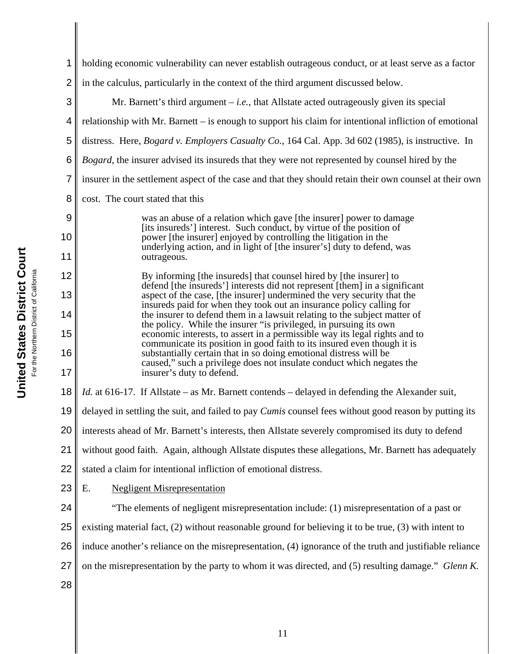| 1  | holding economic vulnerability can never establish outrageous conduct, or at least serve as a factor                                                  |  |
|----|-------------------------------------------------------------------------------------------------------------------------------------------------------|--|
| 2  | in the calculus, particularly in the context of the third argument discussed below.                                                                   |  |
| 3  | Mr. Barnett's third argument $-i.e.,$ that Allstate acted outrageously given its special                                                              |  |
| 4  | relationship with Mr. Barnett – is enough to support his claim for intentional infliction of emotional                                                |  |
| 5  | distress. Here, <i>Bogard v. Employers Casualty Co.</i> , 164 Cal. App. 3d 602 (1985), is instructive. In                                             |  |
| 6  | <i>Bogard</i> , the insurer advised its insureds that they were not represented by counsel hired by the                                               |  |
| 7  | insurer in the settlement aspect of the case and that they should retain their own counsel at their own                                               |  |
| 8  | cost. The court stated that this                                                                                                                      |  |
| 9  | was an abuse of a relation which gave [the insurer] power to damage<br>[its insureds'] interest. Such conduct, by virtue of the position of           |  |
| 10 | power [the insurer] enjoyed by controlling the litigation in the<br>underlying action, and in light of [the insurer's] duty to defend, was            |  |
| 11 | outrageous.                                                                                                                                           |  |
| 12 | By informing [the insureds] that counsel hired by [the insurer] to<br>defend [the insureds'] interests did not represent [them] in a significant      |  |
| 13 | aspect of the case, [the insurer] undermined the very security that the<br>insureds paid for when they took out an insurance policy calling for       |  |
| 14 | the insurer to defend them in a lawsuit relating to the subject matter of<br>the policy. While the insurer "is privileged, in pursuing its own        |  |
| 15 | economic interests, to assert in a permissible way its legal rights and to<br>communicate its position in good faith to its insured even though it is |  |
| 16 | substantially certain that in so doing emotional distress will be<br>caused," such a privilege does not insulate conduct which negates the            |  |
| 17 | insurer's duty to defend.                                                                                                                             |  |
| 18 | <i>Id.</i> at 616-17. If Allstate – as Mr. Barnett contends – delayed in defending the Alexander suit,                                                |  |
| 19 | delayed in settling the suit, and failed to pay <i>Cumis</i> counsel fees without good reason by putting its                                          |  |
| 20 | interests ahead of Mr. Barnett's interests, then Allstate severely compromised its duty to defend                                                     |  |
| 21 | without good faith. Again, although Allstate disputes these allegations, Mr. Barnett has adequately                                                   |  |
| 22 | stated a claim for intentional infliction of emotional distress.                                                                                      |  |
| 23 | <b>Negligent Misrepresentation</b><br>E.                                                                                                              |  |
| 24 | "The elements of negligent misrepresentation include: (1) misrepresentation of a past or                                                              |  |
| 25 | existing material fact, (2) without reasonable ground for believing it to be true, (3) with intent to                                                 |  |
| 26 | induce another's reliance on the misrepresentation, (4) ignorance of the truth and justifiable reliance                                               |  |
| 27 | on the misrepresentation by the party to whom it was directed, and (5) resulting damage." Glenn K.                                                    |  |
| 28 |                                                                                                                                                       |  |
|    |                                                                                                                                                       |  |

I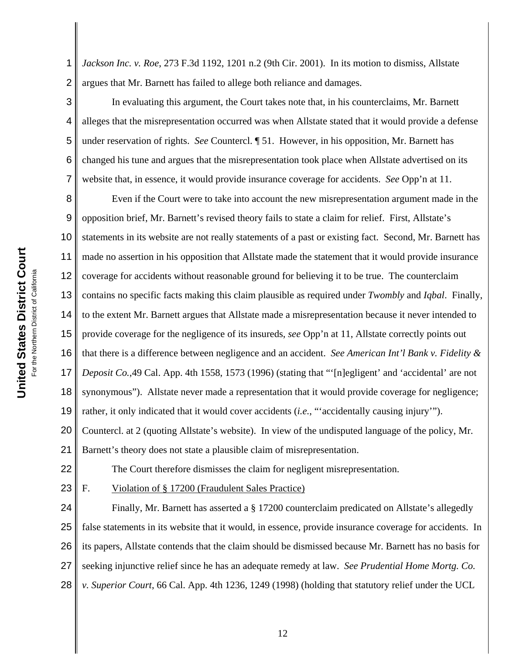1 2 *Jackson Inc. v. Roe*, 273 F.3d 1192, 1201 n.2 (9th Cir. 2001). In its motion to dismiss, Allstate argues that Mr. Barnett has failed to allege both reliance and damages.

3 4 5 6 7 In evaluating this argument, the Court takes note that, in his counterclaims, Mr. Barnett alleges that the misrepresentation occurred was when Allstate stated that it would provide a defense under reservation of rights. *See* Countercl. ¶ 51. However, in his opposition, Mr. Barnett has changed his tune and argues that the misrepresentation took place when Allstate advertised on its website that, in essence, it would provide insurance coverage for accidents. *See* Opp'n at 11.

8 9 10 11 12 13 14 15 16 17 18 19 20 21 Even if the Court were to take into account the new misrepresentation argument made in the opposition brief, Mr. Barnett's revised theory fails to state a claim for relief. First, Allstate's statements in its website are not really statements of a past or existing fact. Second, Mr. Barnett has made no assertion in his opposition that Allstate made the statement that it would provide insurance coverage for accidents without reasonable ground for believing it to be true. The counterclaim contains no specific facts making this claim plausible as required under *Twombly* and *Iqbal*. Finally, to the extent Mr. Barnett argues that Allstate made a misrepresentation because it never intended to provide coverage for the negligence of its insureds, *see* Opp'n at 11, Allstate correctly points out that there is a difference between negligence and an accident. *See American Int'l Bank v. Fidelity & Deposit Co.*,49 Cal. App. 4th 1558, 1573 (1996) (stating that "'[n]egligent' and 'accidental' are not synonymous"). Allstate never made a representation that it would provide coverage for negligence; rather, it only indicated that it would cover accidents (*i.e.*, "'accidentally causing injury'"). Countercl. at 2 (quoting Allstate's website). In view of the undisputed language of the policy, Mr.

Barnett's theory does not state a plausible claim of misrepresentation.

The Court therefore dismisses the claim for negligent misrepresentation.

22 23

F. Violation of § 17200 (Fraudulent Sales Practice)

24 25 26 27 28 Finally, Mr. Barnett has asserted a § 17200 counterclaim predicated on Allstate's allegedly false statements in its website that it would, in essence, provide insurance coverage for accidents. In its papers, Allstate contends that the claim should be dismissed because Mr. Barnett has no basis for seeking injunctive relief since he has an adequate remedy at law. *See Prudential Home Mortg. Co. v. Superior Court*, 66 Cal. App. 4th 1236, 1249 (1998) (holding that statutory relief under the UCL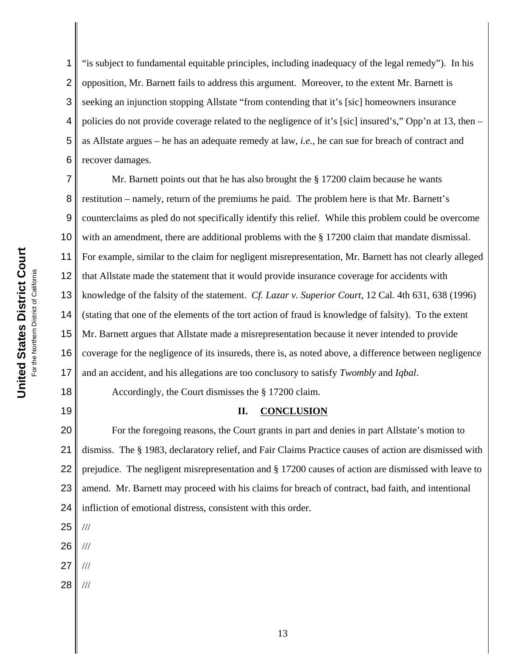1 2 3 4 5 6 "is subject to fundamental equitable principles, including inadequacy of the legal remedy"). In his opposition, Mr. Barnett fails to address this argument. Moreover, to the extent Mr. Barnett is seeking an injunction stopping Allstate "from contending that it's [sic] homeowners insurance policies do not provide coverage related to the negligence of it's [sic] insured's," Opp'n at 13, then – as Allstate argues – he has an adequate remedy at law, *i.e.*, he can sue for breach of contract and recover damages.

7 8 9 10 11 12 13 14 15 16 17 Mr. Barnett points out that he has also brought the § 17200 claim because he wants restitution – namely, return of the premiums he paid. The problem here is that Mr. Barnett's counterclaims as pled do not specifically identify this relief. While this problem could be overcome with an amendment, there are additional problems with the § 17200 claim that mandate dismissal. For example, similar to the claim for negligent misrepresentation, Mr. Barnett has not clearly alleged that Allstate made the statement that it would provide insurance coverage for accidents with knowledge of the falsity of the statement. *Cf. Lazar v. Superior Court*, 12 Cal. 4th 631, 638 (1996) (stating that one of the elements of the tort action of fraud is knowledge of falsity). To the extent Mr. Barnett argues that Allstate made a misrepresentation because it never intended to provide coverage for the negligence of its insureds, there is, as noted above, a difference between negligence and an accident, and his allegations are too conclusory to satisfy *Twombly* and *Iqbal*.

Accordingly, the Court dismisses the § 17200 claim.

## 19

18

## **II. CONCLUSION**

20 21 22 23 24 For the foregoing reasons, the Court grants in part and denies in part Allstate's motion to dismiss. The § 1983, declaratory relief, and Fair Claims Practice causes of action are dismissed with prejudice. The negligent misrepresentation and § 17200 causes of action are dismissed with leave to amend. Mr. Barnett may proceed with his claims for breach of contract, bad faith, and intentional infliction of emotional distress, consistent with this order.

25 ///

26 ///

- 27 ///
- 28 ///